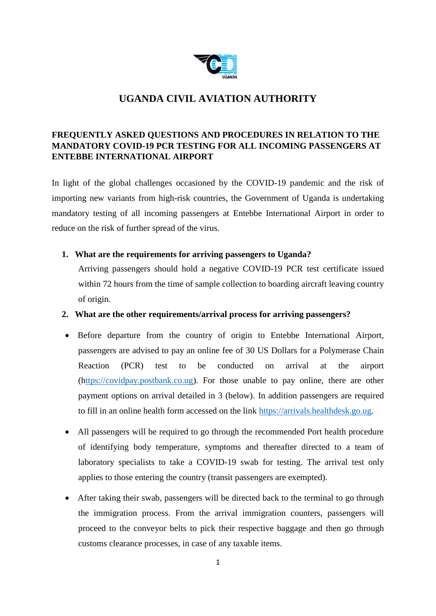

# **UGANDA CIVIL AVIATION AUTHORITY**

## **FREQUENTLY ASKED QUESTIONS AND PROCEDURES IN RELATION TO THE MANDATORY COVID-19 PCR TESTING FOR ALL INCOMING PASSENGERS AT ENTEBBE INTERNATIONAL AIRPORT**

In light of the global challenges occasioned by the COVID-19 pandemic and the risk of importing new variants from high-risk countries, the Government of Uganda is undertaking mandatory testing of all incoming passengers at Entebbe International Airport in order to reduce on the risk of further spread of the virus.

## **1. What are the requirements for arriving passengers to Uganda?**

Arriving passengers should hold a negative COVID-19 PCR test certificate issued within 72 hours from the time of sample collection to boarding aircraft leaving country of origin.

## **2. What are the other requirements/arrival process for arriving passengers?**

- Before departure from the country of origin to Entebbe International Airport, passengers are advised to pay an online fee of 30 US Dollars for a Polymerase Chain Reaction (PCR) test to be conducted on arrival at the airport ([https://covidpay.postbank.co.ug\)](https://covidpay.postbank.co.ug/). For those unable to pay online, there are other payment options on arrival detailed in 3 (below). In addition passengers are required to fill in an online health form accessed on the link [https://arrivals.healthdesk.go.ug.](https://arrivals.healthdesk.go.ug/)
- All passengers will be required to go through the recommended Port health procedure of identifying body temperature, symptoms and thereafter directed to a team of laboratory specialists to take a COVID-19 swab for testing. The arrival test only applies to those entering the country (transit passengers are exempted).
- After taking their swab, passengers will be directed back to the terminal to go through the immigration process. From the arrival immigration counters, passengers will proceed to the conveyor belts to pick their respective baggage and then go through customs clearance processes, in case of any taxable items.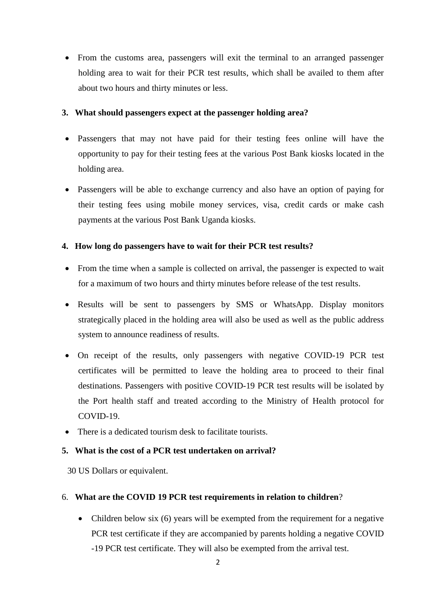• From the customs area, passengers will exit the terminal to an arranged passenger holding area to wait for their PCR test results, which shall be availed to them after about two hours and thirty minutes or less.

#### **3. What should passengers expect at the passenger holding area?**

- Passengers that may not have paid for their testing fees online will have the opportunity to pay for their testing fees at the various Post Bank kiosks located in the holding area.
- Passengers will be able to exchange currency and also have an option of paying for their testing fees using mobile money services, visa, credit cards or make cash payments at the various Post Bank Uganda kiosks.

#### **4. How long do passengers have to wait for their PCR test results?**

- From the time when a sample is collected on arrival, the passenger is expected to wait for a maximum of two hours and thirty minutes before release of the test results.
- Results will be sent to passengers by SMS or WhatsApp. Display monitors strategically placed in the holding area will also be used as well as the public address system to announce readiness of results.
- On receipt of the results, only passengers with negative COVID-19 PCR test certificates will be permitted to leave the holding area to proceed to their final destinations. Passengers with positive COVID-19 PCR test results will be isolated by the Port health staff and treated according to the Ministry of Health protocol for COVID-19.
- There is a dedicated tourism desk to facilitate tourists.

#### **5. What is the cost of a PCR test undertaken on arrival?**

30 US Dollars or equivalent.

#### 6. **What are the COVID 19 PCR test requirements in relation to children**?

• Children below six (6) years will be exempted from the requirement for a negative PCR test certificate if they are accompanied by parents holding a negative COVID -19 PCR test certificate. They will also be exempted from the arrival test.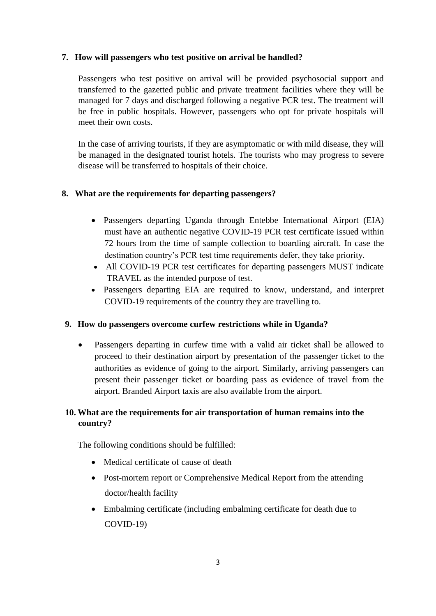### **7. How will passengers who test positive on arrival be handled?**

Passengers who test positive on arrival will be provided psychosocial support and transferred to the gazetted public and private treatment facilities where they will be managed for 7 days and discharged following a negative PCR test. The treatment will be free in public hospitals. However, passengers who opt for private hospitals will meet their own costs.

In the case of arriving tourists, if they are asymptomatic or with mild disease, they will be managed in the designated tourist hotels. The tourists who may progress to severe disease will be transferred to hospitals of their choice.

## **8. What are the requirements for departing passengers?**

- Passengers departing Uganda through Entebbe International Airport (EIA) must have an authentic negative COVID-19 PCR test certificate issued within 72 hours from the time of sample collection to boarding aircraft. In case the destination country's PCR test time requirements defer, they take priority.
- All COVID-19 PCR test certificates for departing passengers MUST indicate TRAVEL as the intended purpose of test.
- Passengers departing EIA are required to know, understand, and interpret COVID-19 requirements of the country they are travelling to.

## **9. How do passengers overcome curfew restrictions while in Uganda?**

 Passengers departing in curfew time with a valid air ticket shall be allowed to proceed to their destination airport by presentation of the passenger ticket to the authorities as evidence of going to the airport. Similarly, arriving passengers can present their passenger ticket or boarding pass as evidence of travel from the airport. Branded Airport taxis are also available from the airport.

## **10. What are the requirements for air transportation of human remains into the country?**

The following conditions should be fulfilled:

- Medical certificate of cause of death
- Post-mortem report or Comprehensive Medical Report from the attending doctor/health facility
- Embalming certificate (including embalming certificate for death due to COVID-19)